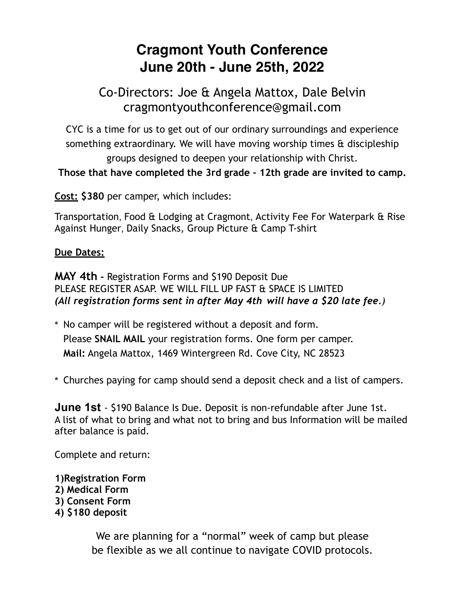## **Cragmont Youth Conference June 20th - June 25th, 2022**

### Co-Directors: Joe & Angela Mattox, Dale Belvin cragmontyouthconference@gmail.com

CYC is a time for us to get out of our ordinary surroundings and experience something extraordinary. We will have moving worship times & discipleship groups designed to deepen your relationship with Christ.

### **Those that have completed the 3rd grade - 12th grade are invited to camp.**

**Cost: \$380** per camper, which includes:

Transportation, Food & Lodging at Cragmont, Activity Fee For Waterpark & Rise Against Hunger, Daily Snacks, Group Picture & Camp T-shirt

### **Due Dates:**

**MAY 4th -** Registration Forms and \$190 Deposit Due PLEASE REGISTER ASAP. WE WILL FILL UP FAST & SPACE IS LIMITED *(All registration forms sent in after May 4th will have a \$20 late fee.)*

- \* No camper will be registered without a deposit and form. Please **SNAIL MAIL** your registration forms. One form per camper. **Mail:** Angela Mattox, 1469 Wintergreen Rd. Cove City, NC 28523
- \* Churches paying for camp should send a deposit check and a list of campers.

**June 1st** - \$190 Balance Is Due. Deposit is non-refundable after June 1st. A list of what to bring and what not to bring and bus Information will be mailed after balance is paid.

Complete and return:

- **1)Registration Form 2) Medical Form 3) Consent Form**
- **4) \$180 deposit**

We are planning for a "normal" week of camp but please be flexible as we all continue to navigate COVID protocols.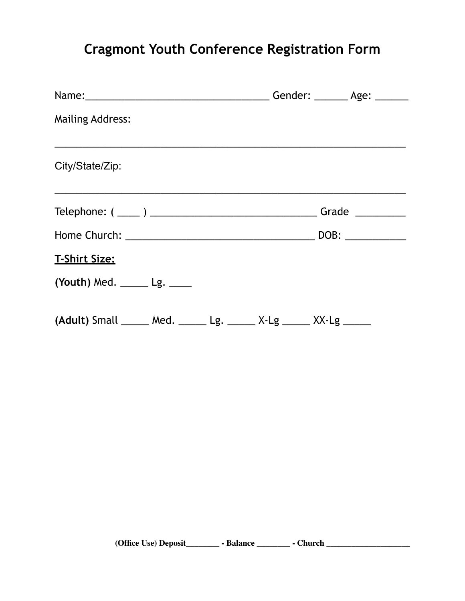# **Cragmont Youth Conference Registration Form**

|                                                                 | Gender: _______ Age: ______ |
|-----------------------------------------------------------------|-----------------------------|
| <b>Mailing Address:</b>                                         |                             |
| City/State/Zip:                                                 |                             |
|                                                                 | Grade $\_$                  |
|                                                                 |                             |
| <b>T-Shirt Size:</b>                                            |                             |
| (Youth) Med. $\_\_\_\_\_\$ Lg. $\_\_\_\_\_\$                    |                             |
| (Adult) Small _____ Med. _____ Lg. _____ X-Lg _____ XX-Lg _____ |                             |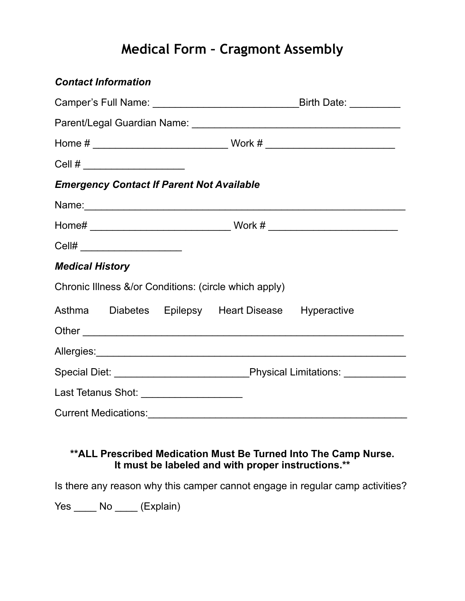# **Medical Form – Cragmont Assembly**

| <b>Contact Information</b> |                                |                                                  |                                                       |                                                                                                                                                                                                                               |  |
|----------------------------|--------------------------------|--------------------------------------------------|-------------------------------------------------------|-------------------------------------------------------------------------------------------------------------------------------------------------------------------------------------------------------------------------------|--|
|                            |                                |                                                  |                                                       |                                                                                                                                                                                                                               |  |
|                            |                                |                                                  |                                                       |                                                                                                                                                                                                                               |  |
|                            |                                |                                                  |                                                       |                                                                                                                                                                                                                               |  |
| Cell #                     |                                |                                                  |                                                       |                                                                                                                                                                                                                               |  |
|                            |                                | <b>Emergency Contact If Parent Not Available</b> |                                                       |                                                                                                                                                                                                                               |  |
|                            |                                |                                                  |                                                       | Name: Name: Name: Name: Name: Name: Name: Name: Name: Name: Name: Name: Name: Name: Name: Name: Name: Name: Name: Name: Name: Name: Name: Name: Name: Name: Name: Name: Name: Name: Name: Name: Name: Name: Name: Name: Name: |  |
|                            |                                |                                                  |                                                       |                                                                                                                                                                                                                               |  |
|                            | Cell# ________________________ |                                                  |                                                       |                                                                                                                                                                                                                               |  |
| <b>Medical History</b>     |                                |                                                  |                                                       |                                                                                                                                                                                                                               |  |
|                            |                                |                                                  | Chronic Illness &/or Conditions: (circle which apply) |                                                                                                                                                                                                                               |  |
|                            |                                |                                                  | Asthma Diabetes Epilepsy Heart Disease Hyperactive    |                                                                                                                                                                                                                               |  |
|                            |                                |                                                  |                                                       |                                                                                                                                                                                                                               |  |
|                            |                                |                                                  |                                                       |                                                                                                                                                                                                                               |  |
|                            |                                |                                                  |                                                       |                                                                                                                                                                                                                               |  |
|                            |                                | Last Tetanus Shot: ___________________           |                                                       |                                                                                                                                                                                                                               |  |
|                            |                                |                                                  |                                                       |                                                                                                                                                                                                                               |  |

### **\*\*ALL Prescribed Medication Must Be Turned Into The Camp Nurse. It must be labeled and with proper instructions.\*\***

Is there any reason why this camper cannot engage in regular camp activities?

Yes \_\_\_\_\_ No \_\_\_\_ (Explain)